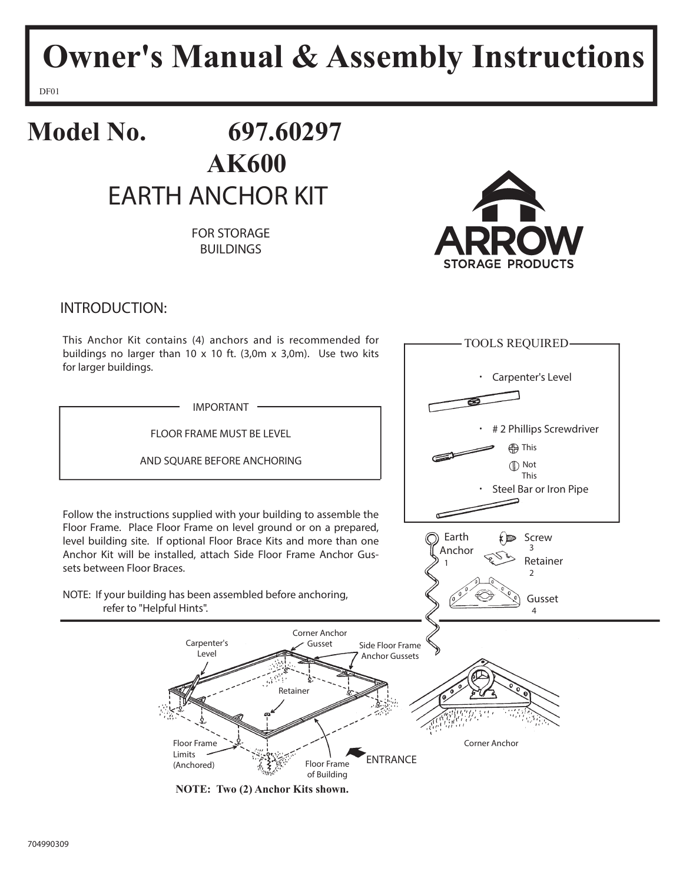# **Owner's Manual & Assembly Instructions**

DF01

### **Model No. 697.60297 AK600** EARTH ANCHOR KIT

FOR STORAGE BUILDINGS



INTRODUCTION:

This Anchor Kit contains (4) anchors and is recommended for buildings no larger than 10 x 10 ft. (3,0m x 3,0m). Use two kits for larger buildings.

IMPORTANT

FLOOR FRAME MUST BE LEVEL

AND SQUARE BEFORE ANCHORING

Follow the instructions supplied with your building to assemble the Floor Frame. Place Floor Frame on level ground or on a prepared, level building site. If optional Floor Brace Kits and more than one Anchor Kit will be installed, attach Side Floor Frame Anchor Gussets between Floor Braces.

NOTE: If your building has been assembled before anchoring, refer to "Helpful Hints".

> Carpenter's Level

Floor Frame Limits (Anchored)



**NOTE: Two (2) Anchor Kits shown.**

Retainer

Floor Frame of Building

Corner Anchor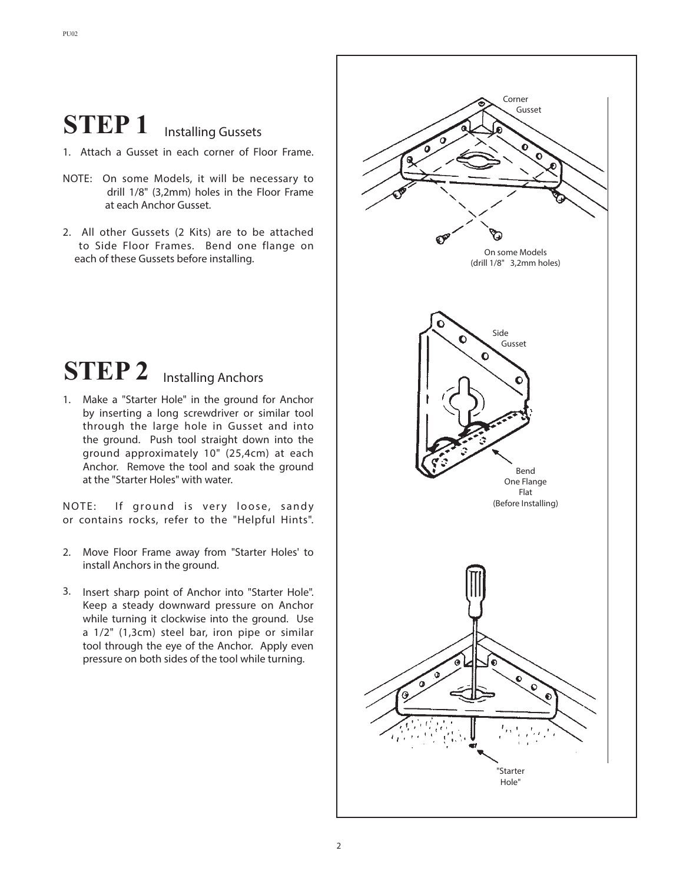### **STEP 1** Installing Gussets

- 1. Attach a Gusset in each corner of Floor Frame.
- NOTE: On some Models, it will be necessary to drill 1/8" (3,2mm) holes in the Floor Frame at each Anchor Gusset.
- 2. All other Gussets (2 Kits) are to be attached to Side Floor Frames. Bend one flange on each of these Gussets before installing.

## **STEP 2** Installing Anchors

1. Make a "Starter Hole" in the ground for Anchor by inserting a long screwdriver or similar tool through the large hole in Gusset and into the ground. Push tool straight down into the ground approximately 10" (25,4cm) at each Anchor. Remove the tool and soak the ground at the "Starter Holes" with water.

NOTE: If ground is very loose, sandy or contains rocks, refer to the "Helpful Hints".

- 2. Move Floor Frame away from "Starter Holes' to install Anchors in the ground.
- 3. Insert sharp point of Anchor into "Starter Hole". Keep a steady downward pressure on Anchor while turning it clockwise into the ground. Use a 1/2" (1,3cm) steel bar, iron pipe or similar tool through the eye of the Anchor. Apply even pressure on both sides of the tool while turning.

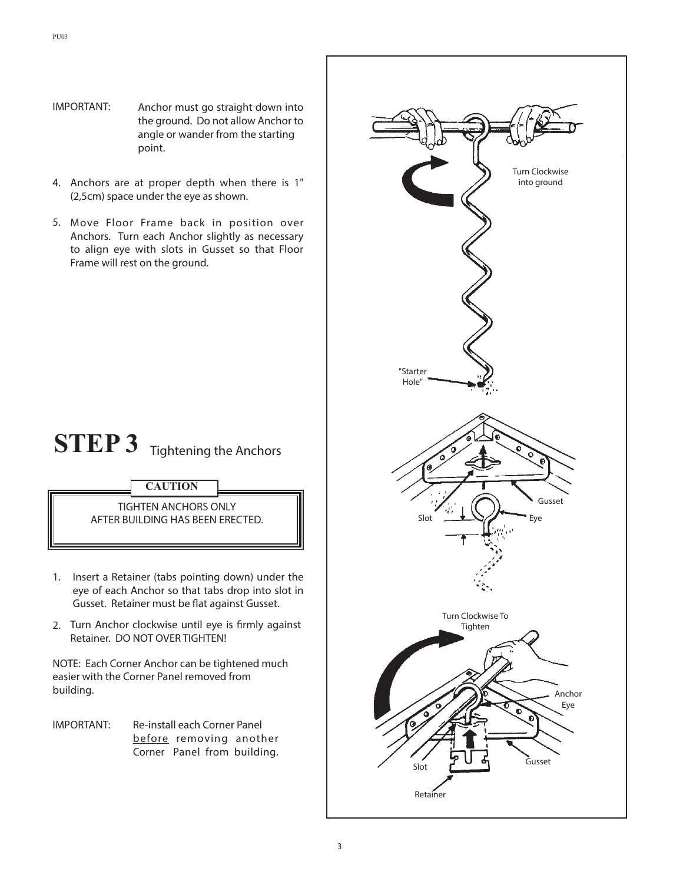- IMPORTANT: Anchor must go straight down into the ground. Do not allow Anchor to angle or wander from the starting point.
- Anchors are at proper depth when there is 1" 4. (2,5cm) space under the eye as shown.
- 5. Move Floor Frame back in position over Anchors. Turn each Anchor slightly as necessary to align eye with slots in Gusset so that Floor Frame will rest on the ground.

### **STEP 3** Tightening the Anchors



TIGHTEN ANCHORS ONLY AFTER BUILDING HAS BEEN ERECTED.

- 1. Insert a Retainer (tabs pointing down) under the eye of each Anchor so that tabs drop into slot in Gusset. Retainer must be flat against Gusset.
- 2. Turn Anchor clockwise until eye is firmly against Retainer. DO NOT OVER TIGHTEN!

NOTE: Each Corner Anchor can be tightened much easier with the Corner Panel removed from building.

IMPORTANT: Re-install each Corner Panel before removing another Corner Panel from building.